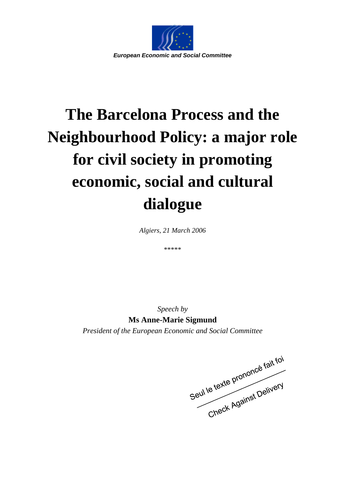

## **The Barcelona Process and the Neighbourhood Policy: a major role for civil society in promoting economic, social and cultural dialogue**

*Algiers, 21 March 2006* 

\*\*\*\*\*

*Speech by*  **Ms Anne-Marie Sigmund**  *President of the European Economic and Social Committee*

Seul le texte prononcé fait foi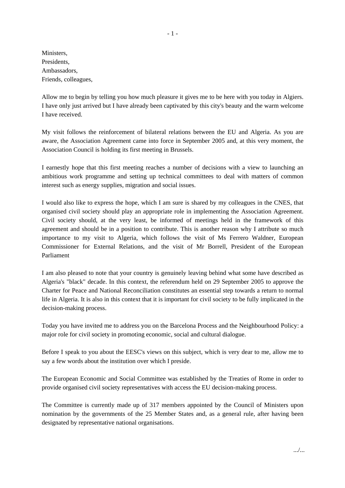Ministers, Presidents, Ambassadors, Friends, colleagues,

Allow me to begin by telling you how much pleasure it gives me to be here with you today in Algiers. I have only just arrived but I have already been captivated by this city's beauty and the warm welcome I have received.

My visit follows the reinforcement of bilateral relations between the EU and Algeria. As you are aware, the Association Agreement came into force in September 2005 and, at this very moment, the Association Council is holding its first meeting in Brussels.

I earnestly hope that this first meeting reaches a number of decisions with a view to launching an ambitious work programme and setting up technical committees to deal with matters of common interest such as energy supplies, migration and social issues.

I would also like to express the hope, which I am sure is shared by my colleagues in the CNES, that organised civil society should play an appropriate role in implementing the Association Agreement. Civil society should, at the very least, be informed of meetings held in the framework of this agreement and should be in a position to contribute. This is another reason why I attribute so much importance to my visit to Algeria, which follows the visit of Ms Ferrero Waldner, European Commissioner for External Relations, and the visit of Mr Borrell, President of the European Parliament

I am also pleased to note that your country is genuinely leaving behind what some have described as Algeria's "black" decade. In this context, the referendum held on 29 September 2005 to approve the Charter for Peace and National Reconciliation constitutes an essential step towards a return to normal life in Algeria. It is also in this context that it is important for civil society to be fully implicated in the decision-making process.

Today you have invited me to address you on the Barcelona Process and the Neighbourhood Policy: a major role for civil society in promoting economic, social and cultural dialogue.

Before I speak to you about the EESC's views on this subject, which is very dear to me, allow me to say a few words about the institution over which I preside.

The European Economic and Social Committee was established by the Treaties of Rome in order to provide organised civil society representatives with access the EU decision-making process.

The Committee is currently made up of 317 members appointed by the Council of Ministers upon nomination by the governments of the 25 Member States and, as a general rule, after having been designated by representative national organisations.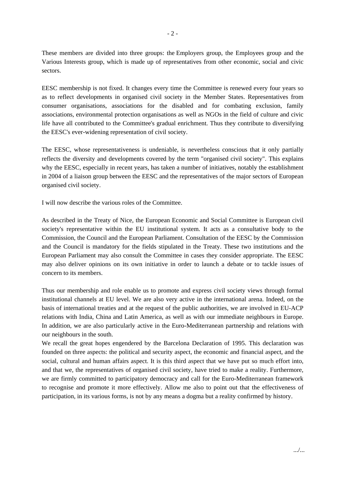These members are divided into three groups: the Employers group, the Employees group and the Various Interests group, which is made up of representatives from other economic, social and civic sectors.

EESC membership is not fixed. It changes every time the Committee is renewed every four years so as to reflect developments in organised civil society in the Member States. Representatives from consumer organisations, associations for the disabled and for combating exclusion, family associations, environmental protection organisations as well as NGOs in the field of culture and civic life have all contributed to the Committee's gradual enrichment. Thus they contribute to diversifying the EESC's ever-widening representation of civil society.

The EESC, whose representativeness is undeniable, is nevertheless conscious that it only partially reflects the diversity and developments covered by the term "organised civil society". This explains why the EESC, especially in recent years, has taken a number of initiatives, notably the establishment in 2004 of a liaison group between the EESC and the representatives of the major sectors of European organised civil society.

I will now describe the various roles of the Committee.

As described in the Treaty of Nice, the European Economic and Social Committee is European civil society's representative within the EU institutional system. It acts as a consultative body to the Commission, the Council and the European Parliament. Consultation of the EESC by the Commission and the Council is mandatory for the fields stipulated in the Treaty. These two institutions and the European Parliament may also consult the Committee in cases they consider appropriate. The EESC may also deliver opinions on its own initiative in order to launch a debate or to tackle issues of concern to its members.

Thus our membership and role enable us to promote and express civil society views through formal institutional channels at EU level. We are also very active in the international arena. Indeed, on the basis of international treaties and at the request of the public authorities, we are involved in EU-ACP relations with India, China and Latin America, as well as with our immediate neighbours in Europe. In addition, we are also particularly active in the Euro-Mediterranean partnership and relations with our neighbours in the south.

We recall the great hopes engendered by the Barcelona Declaration of 1995. This declaration was founded on three aspects: the political and security aspect, the economic and financial aspect, and the social, cultural and human affairs aspect. It is this third aspect that we have put so much effort into, and that we, the representatives of organised civil society, have tried to make a reality. Furthermore, we are firmly committed to participatory democracy and call for the Euro-Mediterranean framework to recognise and promote it more effectively. Allow me also to point out that the effectiveness of participation, in its various forms, is not by any means a dogma but a reality confirmed by history.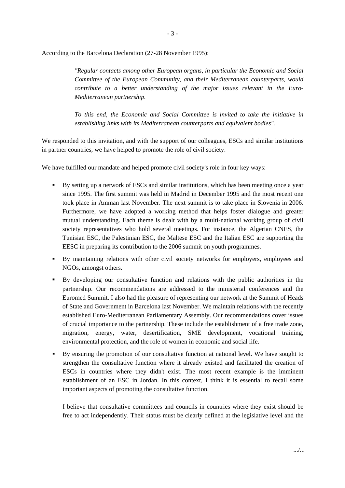According to the Barcelona Declaration (27-28 November 1995):

*"Regular contacts among other European organs, in particular the Economic and Social Committee of the European Community, and their Mediterranean counterparts, would contribute to a better understanding of the major issues relevant in the Euro-Mediterranean partnership.* 

*To this end, the Economic and Social Committee is invited to take the initiative in establishing links with its Mediterranean counterparts and equivalent bodies".* 

We responded to this invitation, and with the support of our colleagues, ESCs and similar institutions in partner countries, we have helped to promote the role of civil society.

We have fulfilled our mandate and helped promote civil society's role in four key ways:

- By setting up a network of ESCs and similar institutions, which has been meeting once a year since 1995. The first summit was held in Madrid in December 1995 and the most recent one took place in Amman last November. The next summit is to take place in Slovenia in 2006. Furthermore, we have adopted a working method that helps foster dialogue and greater mutual understanding. Each theme is dealt with by a multi-national working group of civil society representatives who hold several meetings. For instance, the Algerian CNES, the Tunisian ESC, the Palestinian ESC, the Maltese ESC and the Italian ESC are supporting the EESC in preparing its contribution to the 2006 summit on youth programmes.
- By maintaining relations with other civil society networks for employers, employees and NGOs, amongst others.
- By developing our consultative function and relations with the public authorities in the partnership. Our recommendations are addressed to the ministerial conferences and the Euromed Summit. I also had the pleasure of representing our network at the Summit of Heads of State and Government in Barcelona last November. We maintain relations with the recently established Euro-Mediterranean Parliamentary Assembly. Our recommendations cover issues of crucial importance to the partnership. These include the establishment of a free trade zone, migration, energy, water, desertification, SME development, vocational training, environmental protection, and the role of women in economic and social life.
- By ensuring the promotion of our consultative function at national level. We have sought to strengthen the consultative function where it already existed and facilitated the creation of ESCs in countries where they didn't exist. The most recent example is the imminent establishment of an ESC in Jordan. In this context, I think it is essential to recall some important aspects of promoting the consultative function.

I believe that consultative committees and councils in countries where they exist should be free to act independently. Their status must be clearly defined at the legislative level and the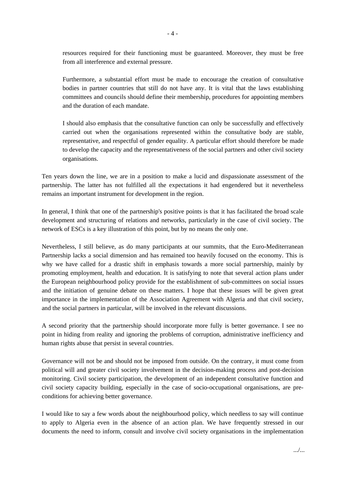resources required for their functioning must be guaranteed. Moreover, they must be free from all interference and external pressure.

Furthermore, a substantial effort must be made to encourage the creation of consultative bodies in partner countries that still do not have any. It is vital that the laws establishing committees and councils should define their membership, procedures for appointing members and the duration of each mandate.

I should also emphasis that the consultative function can only be successfully and effectively carried out when the organisations represented within the consultative body are stable, representative, and respectful of gender equality. A particular effort should therefore be made to develop the capacity and the representativeness of the social partners and other civil society organisations.

Ten years down the line, we are in a position to make a lucid and dispassionate assessment of the partnership. The latter has not fulfilled all the expectations it had engendered but it nevertheless remains an important instrument for development in the region.

In general, I think that one of the partnership's positive points is that it has facilitated the broad scale development and structuring of relations and networks, particularly in the case of civil society. The network of ESCs is a key illustration of this point, but by no means the only one.

Nevertheless, I still believe, as do many participants at our summits, that the Euro-Mediterranean Partnership lacks a social dimension and has remained too heavily focused on the economy. This is why we have called for a drastic shift in emphasis towards a more social partnership, mainly by promoting employment, health and education. It is satisfying to note that several action plans under the European neighbourhood policy provide for the establishment of sub-committees on social issues and the initiation of genuine debate on these matters. I hope that these issues will be given great importance in the implementation of the Association Agreement with Algeria and that civil society, and the social partners in particular, will be involved in the relevant discussions.

A second priority that the partnership should incorporate more fully is better governance. I see no point in hiding from reality and ignoring the problems of corruption, administrative inefficiency and human rights abuse that persist in several countries.

Governance will not be and should not be imposed from outside. On the contrary, it must come from political will and greater civil society involvement in the decision-making process and post-decision monitoring. Civil society participation, the development of an independent consultative function and civil society capacity building, especially in the case of socio-occupational organisations, are preconditions for achieving better governance.

I would like to say a few words about the neighbourhood policy, which needless to say will continue to apply to Algeria even in the absence of an action plan. We have frequently stressed in our documents the need to inform, consult and involve civil society organisations in the implementation